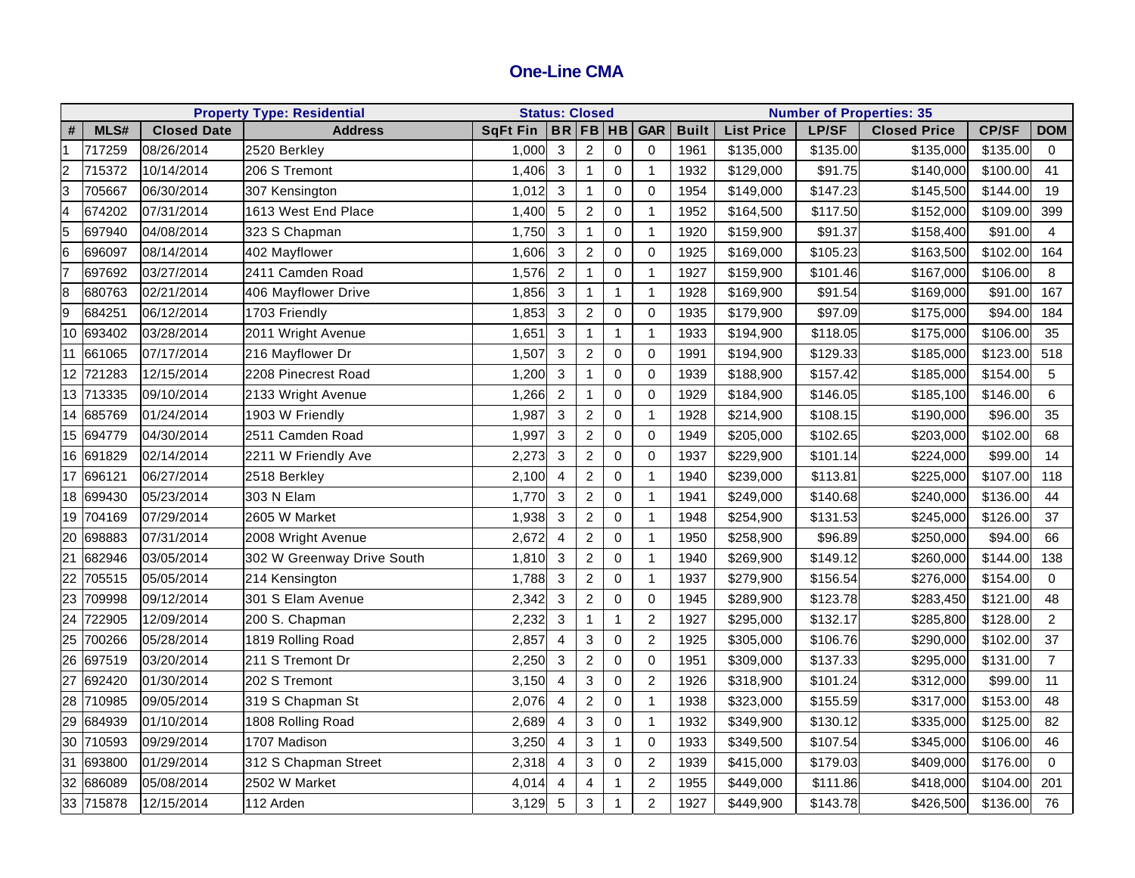## **One-Line CMA**

| <b>Property Type: Residential</b> |           |                    |                            | <b>Status: Closed</b> |                |                |                     |                | <b>Number of Properties: 35</b> |                   |              |                     |              |                |
|-----------------------------------|-----------|--------------------|----------------------------|-----------------------|----------------|----------------|---------------------|----------------|---------------------------------|-------------------|--------------|---------------------|--------------|----------------|
| #                                 | MLS#      | <b>Closed Date</b> | <b>Address</b>             | <b>SqFt Fin</b>       | BR FB HB       |                |                     | <b>GAR</b>     | <b>Built</b>                    | <b>List Price</b> | <b>LP/SF</b> | <b>Closed Price</b> | <b>CP/SF</b> | <b>DOM</b>     |
| $\overline{1}$                    | 717259    | 08/26/2014         | 2520 Berkley               | 1,000                 | $\mathbf{3}$   | $\overline{2}$ | 0                   | $\mathbf 0$    | 1961                            | \$135,000         | \$135.00     | \$135,000           | \$135.00     | $\mathbf{0}$   |
| $\overline{c}$                    | 715372    | 10/14/2014         | 206 S Tremont              | 1,406                 | $\mathbf{3}$   | $\mathbf{1}$   | 0                   | $\overline{1}$ | 1932                            | \$129,000         | \$91.75      | \$140,000           | \$100.00     | 41             |
| 3                                 | 705667    | 06/30/2014         | 307 Kensington             | 1,012                 | $\mathbf{3}$   | $\mathbf{1}$   | $\mathbf 0$         | $\Omega$       | 1954                            | \$149,000         | \$147.23     | \$145,500           | \$144.00     | 19             |
| $\overline{4}$                    | 674202    | 07/31/2014         | 1613 West End Place        | 1,400                 | $\overline{5}$ | $\overline{c}$ | 0                   | $\overline{1}$ | 1952                            | \$164,500         | \$117.50     | \$152,000           | \$109.00     | 399            |
| 5                                 | 697940    | 04/08/2014         | 323 S Chapman              | 1,750                 | 3              | $\mathbf{1}$   | $\mathbf 0$         | $\overline{1}$ | 1920                            | \$159,900         | \$91.37      | \$158,400           | \$91.00      | $\overline{4}$ |
| 6                                 | 696097    | 08/14/2014         | 402 Mayflower              | 1,606                 | 3              | $\overline{c}$ | $\pmb{0}$           | $\mathbf 0$    | 1925                            | \$169,000         | \$105.23     | \$163,500           | \$102.00     | 164            |
| $\overline{7}$                    | 697692    | 03/27/2014         | 2411 Camden Road           | 1,576                 | $\overline{2}$ | 1              | 0                   | $\mathbf 1$    | 1927                            | \$159,900         | \$101.46     | \$167,000           | \$106.00     | 8              |
| $\infty$                          | 680763    | 02/21/2014         | 406 Mayflower Drive        | 1,856                 | $\mathbf{3}$   | 1              | $\mathbf{1}$        | $\overline{1}$ | 1928                            | \$169,900         | \$91.54      | \$169,000           | \$91.00      | 167            |
| 9                                 | 684251    | 06/12/2014         | 1703 Friendly              | 1,853                 | 3              | $\overline{c}$ | $\mathsf{O}\xspace$ | $\Omega$       | 1935                            | \$179,900         | \$97.09      | \$175,000           | \$94.00      | 184            |
| 10                                | 693402    | 03/28/2014         | 2011 Wright Avenue         | 1,651                 | 3              | $\mathbf{1}$   | $\mathbf{1}$        | $\overline{1}$ | 1933                            | \$194,900         | \$118.05     | \$175,000           | \$106.00     | 35             |
| 11                                | 661065    | 07/17/2014         | 216 Mayflower Dr           | 1,507                 | 3              | $\overline{2}$ | 0                   | $\mathbf 0$    | 1991                            | \$194,900         | \$129.33     | \$185,000           | \$123.00     | 518            |
|                                   | 12 721283 | 12/15/2014         | 2208 Pinecrest Road        | 1,200                 | 3              | $\mathbf{1}$   | 0                   | $\mathbf 0$    | 1939                            | \$188,900         | \$157.42     | \$185,000           | \$154.00     | 5              |
|                                   | 13 713335 | 09/10/2014         | 2133 Wright Avenue         | 1,266                 | $\overline{2}$ | $\mathbf{1}$   | $\pmb{0}$           | $\mathbf 0$    | 1929                            | \$184,900         | \$146.05     | \$185,100           | \$146.00     | 6              |
| 14                                | 685769    | 01/24/2014         | 1903 W Friendly            | 1,987                 | 3              | $\overline{2}$ | $\mathbf 0$         | $\overline{1}$ | 1928                            | \$214,900         | \$108.15     | \$190,000           | \$96.00      | 35             |
|                                   | 15 694779 | 04/30/2014         | 2511 Camden Road           | 1,997                 | 3              | $\overline{c}$ | 0                   | $\mathbf 0$    | 1949                            | \$205,000         | \$102.65     | \$203,000           | \$102.00     | 68             |
| 16                                | 691829    | 02/14/2014         | 2211 W Friendly Ave        | 2,273                 | 3              | $\overline{c}$ | 0                   | $\mathbf 0$    | 1937                            | \$229,900         | \$101.14     | \$224,000           | \$99.00      | 14             |
| 17                                | 696121    | 06/27/2014         | 2518 Berkley               | 2,100                 | 4              | $\overline{c}$ | 0                   | -1             | 1940                            | \$239,000         | \$113.81     | \$225,000           | \$107.00     | 118            |
|                                   | 18 699430 | 05/23/2014         | 303 N Elam                 | 1,770                 | 3              | $\overline{c}$ | 0                   | $\mathbf 1$    | 1941                            | \$249,000         | \$140.68     | \$240,000           | \$136.00     | 44             |
|                                   | 19 704169 | 07/29/2014         | 2605 W Market              | 1,938                 | 3              | $\overline{c}$ | 0                   | -1             | 1948                            | \$254,900         | \$131.53     | \$245,000           | \$126.00     | 37             |
| 20                                | 698883    | 07/31/2014         | 2008 Wright Avenue         | 2,672                 | 4              | $\overline{c}$ | 0                   | $\overline{1}$ | 1950                            | \$258,900         | \$96.89      | \$250,000           | \$94.00      | 66             |
| $\overline{21}$                   | 682946    | 03/05/2014         | 302 W Greenway Drive South | 1,810                 | 3              | $\overline{2}$ | 0                   | $\overline{1}$ | 1940                            | \$269,900         | \$149.12     | \$260,000           | \$144.00     | 138            |
| $\overline{22}$                   | 705515    | 05/05/2014         | 214 Kensington             | 1,788                 | 3              | $\overline{2}$ | 0                   | $\mathbf 1$    | 1937                            | \$279,900         | \$156.54     | \$276,000           | \$154.00     | 0              |
| 23                                | 709998    | 09/12/2014         | 301 S Elam Avenue          | 2,342                 | 3              | $\overline{c}$ | 0                   | $\mathbf 0$    | 1945                            | \$289,900         | \$123.78     | \$283,450           | \$121.00     | 48             |
| $\overline{24}$                   | 722905    | 12/09/2014         | 200 S. Chapman             | 2,232                 | 3              | $\mathbf{1}$   | $\mathbf{1}$        | $\overline{c}$ | 1927                            | \$295,000         | \$132.17     | \$285,800           | \$128.00     | $\overline{2}$ |
| $\overline{25}$                   | 700266    | 05/28/2014         | 1819 Rolling Road          | 2,857                 | 4              | $\mathbf{3}$   | $\mathbf 0$         | $\overline{2}$ | 1925                            | \$305,000         | \$106.76     | \$290,000           | \$102.00     | 37             |
| $\overline{26}$                   | 697519    | 03/20/2014         | 211 S Tremont Dr           | 2,250                 | 3              | $\overline{c}$ | 0                   | $\mathbf 0$    | 1951                            | \$309,000         | \$137.33     | \$295,000           | \$131.00     | $\overline{7}$ |
| $\overline{27}$                   | 692420    | 01/30/2014         | 202 S Tremont              | 3,150                 | 4              | $\mathbf{3}$   | 0                   | $\overline{c}$ | 1926                            | \$318,900         | \$101.24     | \$312,000           | \$99.00      | 11             |
|                                   | 28 710985 | 09/05/2014         | 319 S Chapman St           | 2,076                 | 4              | $\overline{c}$ | 0                   | $\overline{1}$ | 1938                            | \$323,000         | \$155.59     | \$317,000           | \$153.00     | 48             |
| 29                                | 684939    | 01/10/2014         | 1808 Rolling Road          | 2,689                 | 4              | 3              | 0                   | $\mathbf 1$    | 1932                            | \$349,900         | \$130.12     | \$335,000           | \$125.00     | 82             |
| 30                                | 710593    | 09/29/2014         | 1707 Madison               | 3,250                 | 4              | $\mathbf{3}$   | $\mathbf{1}$        | $\Omega$       | 1933                            | \$349,500         | \$107.54     | \$345,000           | \$106.00     | 46             |
| 31                                | 693800    | 01/29/2014         | 312 S Chapman Street       | 2,318                 | 4              | 3              | 0                   | $\overline{c}$ | 1939                            | \$415,000         | \$179.03     | \$409,000           | \$176.00     | $\mathbf 0$    |
| 32                                | 686089    | 05/08/2014         | 2502 W Market              | 4,014                 | 4              | 4              | $\mathbf{1}$        | $\overline{c}$ | 1955                            | \$449,000         | \$111.86     | \$418,000           | \$104.00     | 201            |
|                                   | 33 715878 | 12/15/2014         | 112 Arden                  | 3,129                 | 5              | 3              | $\mathbf{1}$        | $\overline{2}$ | 1927                            | \$449,900         | \$143.78     | \$426,500           | \$136.00     | 76             |